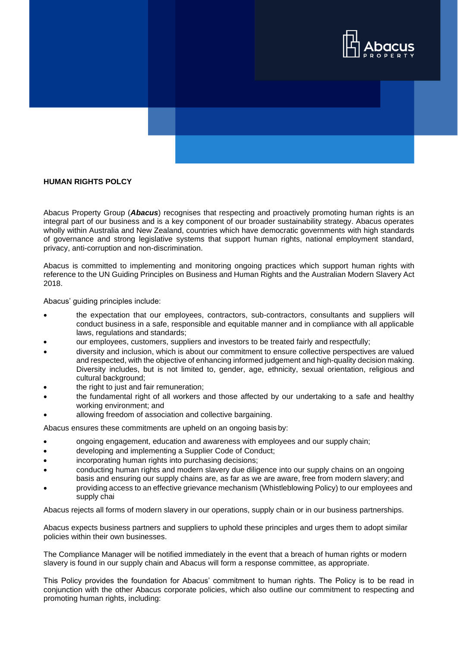

## **HUMAN RIGHTS POLCY**

Abacus Property Group (*Abacus*) recognises that respecting and proactively promoting human rights is an integral part of our business and is a key component of our broader sustainability strategy. Abacus operates wholly within Australia and New Zealand, countries which have democratic governments with high standards of governance and strong legislative systems that support human rights, national employment standard, privacy, anti-corruption and non-discrimination.

Abacus is committed to implementing and monitoring ongoing practices which support human rights with reference to the UN Guiding Principles on Business and Human Rights and the Australian Modern Slavery Act 2018.

Abacus' guiding principles include:

- the expectation that our employees, contractors, sub-contractors, consultants and suppliers will conduct business in a safe, responsible and equitable manner and in compliance with all applicable laws, regulations and standards;
- our employees, customers, suppliers and investors to be treated fairly and respectfully;
- diversity and inclusion, which is about our commitment to ensure collective perspectives are valued and respected, with the objective of enhancing informed judgement and high-quality decision making. Diversity includes, but is not limited to, gender, age, ethnicity, sexual orientation, religious and cultural background;
- the right to just and fair remuneration;
- the fundamental right of all workers and those affected by our undertaking to a safe and healthy working environment; and
- allowing freedom of association and collective bargaining.

Abacus ensures these commitments are upheld on an ongoing basis by:

- ongoing engagement, education and awareness with employees and our supply chain;
- developing and implementing a Supplier Code of Conduct;
- incorporating human rights into purchasing decisions;
- conducting human rights and modern slavery due diligence into our supply chains on an ongoing basis and ensuring our supply chains are, as far as we are aware, free from modern slavery; and
- providing access to an effective grievance mechanism (Whistleblowing Policy) to our employees and supply chai

Abacus rejects all forms of modern slavery in our operations, supply chain or in our business partnerships.

Abacus expects business partners and suppliers to uphold these principles and urges them to adopt similar policies within their own businesses.

The Compliance Manager will be notified immediately in the event that a breach of human rights or modern slavery is found in our supply chain and Abacus will form a response committee, as appropriate.

This Policy provides the foundation for Abacus' commitment to human rights. The Policy is to be read in conjunction with the other Abacus corporate policies, which also outline our commitment to respecting and promoting human rights, including: